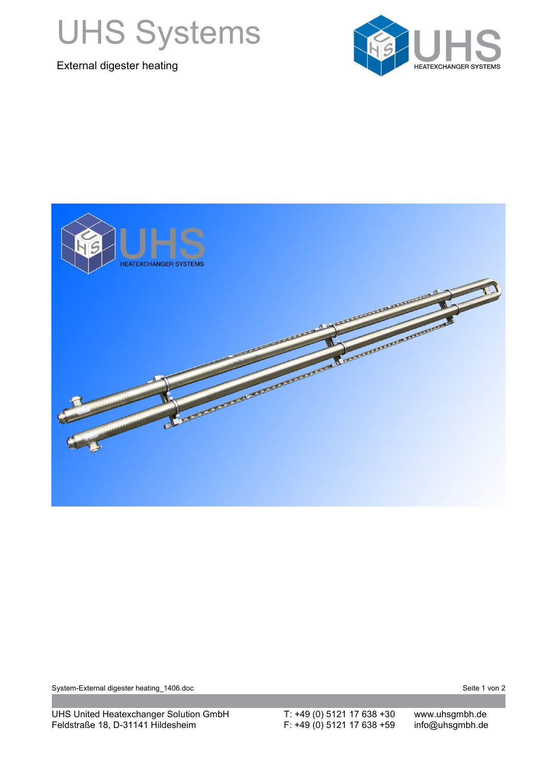

External digester heating





System-External digester heating\_1406.doc Seite 1 von 2